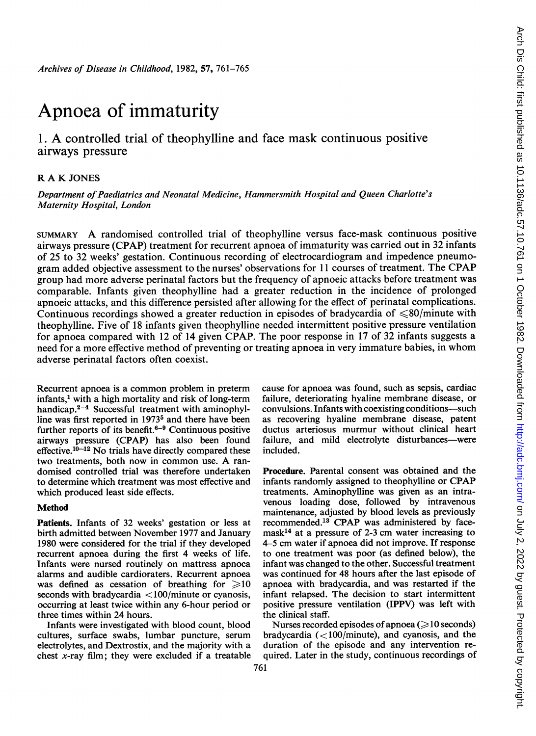# Apnoea of immaturity

# 1. A controlled trial of theophylline and face mask continuous positive airways pressure

## R A K JONES

Department of Paediatrics and Neonatal Medicine, Hammersmith Hospital and Queen Charlotte's Maternity Hospital, London

SUMMARY A randomised controlled trial of theophylline versus face-mask continuous positive airways pressure (CPAP) treatment for recurrent apnoea of immaturity was carried out in 32 infants of 25 to 32 weeks' gestation. Continuous recording of electrocardiogram and impedence pneumogram added objective assessment to the nurses' observations for <sup>11</sup> courses of treatment. The CPAP group had more adverse perinatal factors but the frequency of apnoeic attacks before treatment was comparable. Infants given theophylline had a greater reduction in the incidence of prolonged apnoeic attacks, and this difference persisted after allowing for the effect of perinatal complications. Continuous recordings showed a greater reduction in episodes of bradycardia of  $\leq 80$ /minute with theophylline. Five of 18 infants given theophylline needed intermittent positive pressure ventilation for apnoea compared with 12 of 14 given CPAP. The poor response in 17 of 32 infants suggests a need for <sup>a</sup> more effective method of preventing or treating apnoea in very immature babies, in whom adverse perinatal factors often coexist.

Recurrent apnoea is a common problem in preterm infants,<sup>1</sup> with a high mortality and risk of long-term handicap.<sup>2-4</sup> Successful treatment with aminophylline was first reported in 1973<sup>5</sup> and there have been further reports of its benefit. $6-9$  Continuous positive airways pressure (CPAP) has also been found effective. $10-12$  No trials have directly compared these two treatments, both now in common use. A randomised controlled trial was therefore undertaken to determine which treatment was most effective and which produced least side effects.

## Method

Patients. Infants of 32 weeks' gestation or less at birth admitted between November 1977 and January 1980 were considered for the trial if they developed recurrent apnoea during the first 4 weeks of life. Infants were nursed routinely on mattress apnoea alarms and audible cardioraters. Recurrent apnoea was defined as cessation of breathing for  $\geq 10$ seconds with bradycardia <100/minute or cyanosis, occurring at least twice within any 6-hour period or three times within 24 hours.

Infants were investigated with blood count, blood cultures, surface swabs, lumbar puncture, serum electrolytes, and Dextrostix, and the majority with a chest x-ray film; they were excluded if a treatable cause for apnoea was found, such as sepsis, cardiac failure, deteriorating hyaline membrane disease, or convulsions. Infants with coexisting conditions-such as recovering hyaline membrane disease, patent ductus arteriosus murmur without clinical heart failure, and mild electrolyte disturbances-were included.

Procedure. Parental consent was obtained and the infants randomly assigned to theophylline or CPAP treatments. Aminophylline was given as an intravenous loading dose, followed by intravenous maintenance, adjusted by blood levels as previously recommended.13 CPAP was administered by facemask<sup>14</sup> at a pressure of 2-3 cm water increasing to 4-5 cm water if apnoea did not improve. If response to one treatment was poor (as defined below), the infant was changed to the other. Successful treatment was continued for 48 hours after the last episode of apnoea with bradycardia, and was restarted if the infant relapsed. The decision to start intermittent positive pressure ventilation (IPPV) was left with the clinical staff.

Nurses recorded episodes of apnoea ( $\geq 10$  seconds) bradycardia  $\left($  < 100/minute), and cyanosis, and the duration of the episode and any intervention required. Later in the study, continuous recordings of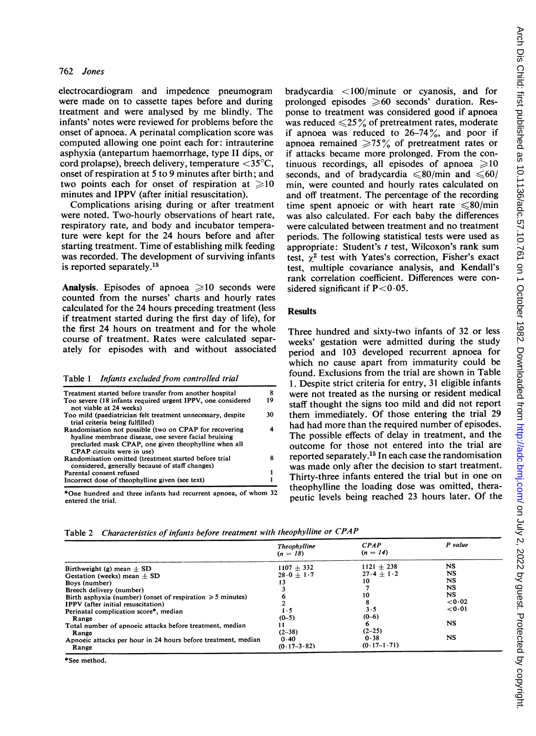#### 762 Jones

electrocardiogram and impedence pneumogram were made on to cassette tapes before and during treatment and were analysed by me blindly. The infants' notes were reviewed for problems before the onset of apnoea. A perinatal complication score was computed allowing one point each for: intrauterine asphyxia (antepartum haemorrhage, type <sup>11</sup> dips, or cord prolapse), breech delivery, temperature  $\langle 35^{\circ}$ C, onset of respiration at 5 to 9 minutes after birth; and two points each for onset of respiration at  $\geq 10$ minutes and IPPV (after initial resuscitation).

Complications arising during or after treatment were noted. Two-hourly observations of heart rate, respiratory rate, and body and incubator temperature were kept for the 24 hours before and after starting treatment. Time of establishing milk feeding was recorded. The development of surviving infants is reported separately.15

Analysis. Episodes of apnoea  $\geq 10$  seconds were counted from the nurses' charts and hourly rates calculated for the 24 hours preceding treatment (less if treatment started during the first day of life), for the first 24 hours on treatment and for the whole course of treatment. Rates were calculated separately for episodes with and without associated

Table <sup>1</sup> Infants excluded from controlled trial

| Treatment started before transfer from another hospital                                                                                                                                              |     |
|------------------------------------------------------------------------------------------------------------------------------------------------------------------------------------------------------|-----|
| Too severe (18 infants required urgent IPPV, one considered<br>not viable at 24 weeks)                                                                                                               | 19  |
| Too mild (paediatrician felt treatment unnecessary, despite<br>trial criteria being fulfilled)                                                                                                       | 30. |
| Randomisation not possible (two on CPAP for recovering<br>hyaline membrane disease, one severe facial bruising<br>precluded mask CPAP, one given theophylline when all<br>CPAP circuits were in use) |     |
| Randomisation omitted (treatment started before trial<br>considered, generally because of staff changes)                                                                                             |     |
| Parental consent refused                                                                                                                                                                             |     |
| Incorrect dose of theophylline given (see text)                                                                                                                                                      |     |

\*One hundred and three infants had recurrent apnoea, of whom <sup>32</sup> entered the trial.

bradycardia <100/minute or cyanosis, and for prolonged episodes  $\geqslant 60$  seconds' duration. Response to treatment was considered good if apnoea was reduced  $\leq 25\%$  of pretreatment rates, moderate if apnoea was reduced to  $26-74\%$ , and poor if apnoea remained  $\geq 75\%$  of pretreatment rates or if attacks became more prolonged. From the continuous recordings, all episodes of apnoea  $\geq 10$ seconds, and of bradycardia  $\leq 80/\text{min}$  and  $\leq 60/\text{min}$ min, were counted and hourly rates calculated on and off treatment. The percentage of the recording time spent apnoeic or with heart rate  $\leq 80$ /min was also calculated. For each baby the differences were calculated between treatment and no treatment periods. The following statistical tests were used as appropriate: Student's  $t$  test, Wilcoxon's rank sum test,  $y^2$  test with Yates's correction, Fisher's exact test, multiple covariance analysis, and Kendall's rank correlation coefficient. Differences were considered significant if  $P < 0.05$ .

#### **Results**

Three hundred and sixty-two infants of 32 or less weeks' gestation were admitted during the study period and 103 developed recurrent apnoea for which no cause apart from immaturity could be found. Exclusions from the trial are shown in Table 1. Despite strict criteria for entry, 31 eligible infants were not treated as the nursing or resident medical staff thought the signs too mild and did not report them immediately. Of those entering the trial 29 had had more than the required number of episodes. The possible effects of delay in treatment, and the outcome for those not entered into the trial are reported separately.15 In each case the randomisation was made only after the decision to start treatment. Thirty-three infants entered the trial but in one on theophylline the loading dose was omitted, therapeutic levels being reached 23 hours later. Of the

Table 2 Characteristics of infants before treatment with theophylline or CPAP

|                                                                 | Theophylline<br>$(n = 18)$ | CPAP<br>$(n = 14)$ | P value   |
|-----------------------------------------------------------------|----------------------------|--------------------|-----------|
| Birthweight (g) mean $\pm$ SD                                   | $1107 + 332$               | $1121 + 238$       | NS        |
| Gestation (weeks) mean $\pm$ SD                                 | $28.0 + 1.7$               | $27.4 + 1.2$       | NS        |
| Boys (number)                                                   | 13                         | 10                 | NS        |
| Breech delivery (number)                                        |                            |                    | NS        |
| Birth asphyxia (number) (onset of respiration $\geq 5$ minutes) |                            | 10                 | <b>NS</b> |
| <b>IPPV</b> (after initial resuscitation)                       |                            |                    | 0.02      |
| Perinatal complication score*, median                           | 1 - 5                      | 3.5                | 0.01      |
| Range                                                           | $(0-5)$                    | $(0-6)$            |           |
| Total number of apnoeic attacks before treatment, median        |                            | 6                  | NS        |
| Range                                                           | $(2-38)$                   | $(2-25)$           |           |
| Apnoeic attacks per hour in 24 hours before treatment, median   | 0.40                       | 0.38               | NS        |
| Range                                                           | $(0.17 - 3.82)$            | $(0.17 - 1.71)$    |           |

\*See method.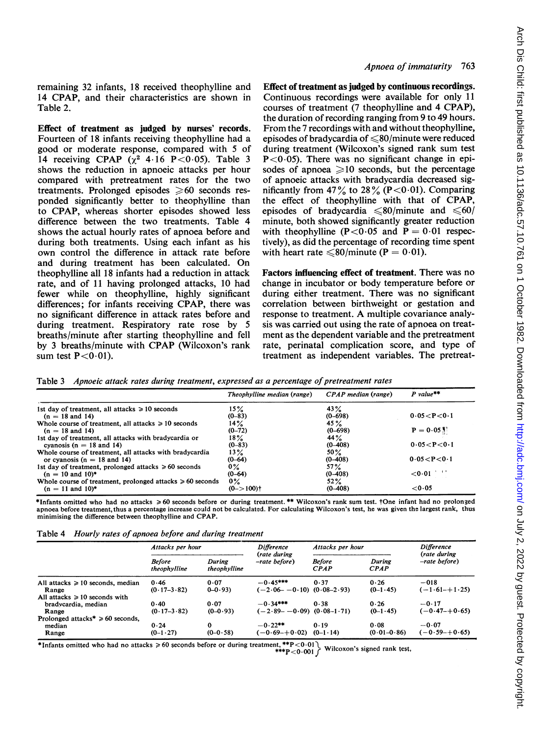remaining 32 infants, 18 received theophylline and 14 CPAP, and their characteristics are shown in Table 2.

Effect of treatment as judged by nurses' records. Fourteen of 18 infants receiving theophylline had a good or moderate response, compared with 5 of 14 receiving CPAP  $(x^2 + 16)P < 0.05$ ). Table 3 shows the reduction in apnoeic attacks per hour compared with pretreatment rates for the two treatments. Prolonged episodes  $\geq 60$  seconds responded significantly better to theophylline than to CPAP, whereas shorter episodes showed less difference between the two treatments. Table 4 shows the actual hourly rates of apnoea before and during both treatments. Using each infant as his own control the difference in attack rate before and during treatment has been calculated. On theophylline all 18 infants had a reduction in attack rate, and of 11 having prolonged attacks, 10 had fewer while on theophylline, highly significant differences; for infants receiving CPAP, there was no significant difference in attack rates before and during treatment. Respiratory rate rose by 5 breaths/minute after starting theophylline and fell by <sup>3</sup> breaths/minute with CPAP (Wilcoxon's rank sum test  $P < 0.01$ ).

#### Apnoea of immaturity 763

Effect of treatment as judged by continuous recordings. Continuous recordings were available for only <sup>11</sup> courses of treatment (7 theophylline and 4 CPAP), the duration of recording ranging from 9 to 49 hours. From the <sup>7</sup> recordings with and without theophylline, episodes of bradycardia of  $\leq 80$ /minute were reduced during treatment (Wilcoxon's signed rank sum test  $P < 0.05$ ). There was no significant change in episodes of apnoea  $\geq 10$  seconds, but the percentage of apnoeic attacks with bradycardia decreased significantly from 47% to 28% (P < 0.01). Comparing the effect of theophylline with that of CPAP, episodes of bradycardia  $\leq 80$ /minute and  $\leq 60$ / minute, both showed significantly greater reduction with the ophylline (P < 0.05 and P = 0.01 respectively), as did the percentage of recording time spent with heart rate  $\leq 80$ /minute (P = 0.01).

Factors influencing effect of treatment. There was no change in incubator or body temperature before or during either treatment. There was no significant correlation between birthweight or gestation and response to treatment. A multiple covariance analysis was carried out using the rate of apnoea on treatment as the dependent variable and the pretreatment rate, perinatal complication score, and type of treatment as independent variables. The pretreat-

|  | Table 3 Apnoeic attack rates during treatment, expressed as a percentage of pretreatment rates |  |  |  |
|--|------------------------------------------------------------------------------------------------|--|--|--|
|--|------------------------------------------------------------------------------------------------|--|--|--|

|                                                                | Theophylline median (range) | CPAP median (range) | $P$ value**    |
|----------------------------------------------------------------|-----------------------------|---------------------|----------------|
| 1st day of treatment, all attacks $\geq 10$ seconds            | 15%                         | 43%                 |                |
| $(n = 18$ and 14)                                              | $(0-83)$                    | $(0 - 698)$         | 0.05 < P < 0.1 |
| Whole course of treatment, all attacks $\geq 10$ seconds       | 14%                         | 45 $\%$             |                |
| $(n = 18$ and 14)                                              | $(0-72)$                    | $(0 - 698)$         | $P = 0.05$     |
| 1st day of treatment, all attacks with bradycardia or          | $18\%$                      | 44%                 |                |
| cyanosis ( $n = 18$ and 14)                                    | $(0-83)$                    | $(0-408)$           | 0.05 < P < 0.1 |
| Whole course of treatment, all attacks with bradycardia        | $13\%$                      | $50\%$              |                |
| or cyanosis $(n = 18$ and 14)                                  | $(0-64)$                    | $(0-408)$           | 0.05 < P < 0.1 |
| 1st day of treatment, prolonged attacks $\geq 60$ seconds      | $0\%$                       | 57%                 |                |
| $(n = 10$ and $10$ <sup>*</sup>                                | $(0-64)$                    | $(0-408)$           | 2012<br>0.01   |
| Whole course of treatment, prolonged attacks $\geq 60$ seconds | $0\%$                       | $52\%$              |                |
| $(n = 11$ and $10)^*$                                          | $(0 - > 100)$ <sup>+</sup>  | $(0 - 408)$         | 0.05           |

\*Infants omitted who had no attacks > 60 seconds before or during treatment. \*\* Wilcoxon's rank sum test. tOne infant had no prolonged apnoea before treatment,thus a percentage increase could not be calculated. For calculating Wilcoxon's test, he was given the largest rank, thus minimising the difference between theophylline and CPAP.

| Table 4 | Hourly rates of apnoea before and during treatment |  |  |  |  |
|---------|----------------------------------------------------|--|--|--|--|
|---------|----------------------------------------------------|--|--|--|--|

|                                                   | Attacks per hour              |                        | <b>Difference</b>                 | Attacks per hour      |                       | <b>Difference</b>                 |
|---------------------------------------------------|-------------------------------|------------------------|-----------------------------------|-----------------------|-----------------------|-----------------------------------|
|                                                   | <b>Before</b><br>theophylline | During<br>theophylline | (rate during<br>-rate before)     | <b>Before</b><br>CPAP | During<br><b>CPAP</b> | (rate during<br>$-rate \ before)$ |
| All attacks $\geq 10$ seconds, median             | 0.46                          | 0.07                   | $-0.45***$                        | 0.37                  | 0.26                  | $-018$                            |
| Range                                             | $(0.17 - 3.82)$               | $0 - 0.93$             | $(-2.06 - -0.10)$ $(0.08 - 2.93)$ |                       | $(0-1.45)$            | $(-1.61 - +1.25)$                 |
| All attacks $\geq 10$ seconds with                |                               |                        |                                   |                       |                       |                                   |
| bradvcardia, median                               | 0.40                          | 0.07                   | $-0.34***$                        | 0.38                  | 0.26                  | $-0.17$                           |
| Range                                             | $(0.17 - 3.82)$               | $(0-0.93)$             | $(-2.89 - -0.09)$ $(0.08 - 1.71)$ |                       | $(0-1.45)$            | $(-0.47 - +0.65)$                 |
| Prolonged attacks <sup>*</sup> $\geq 60$ seconds, |                               |                        |                                   |                       |                       |                                   |
| median                                            | 0.24                          | 0                      | $-0.22**$                         | 0.19                  | 0.08                  | $-0.07$                           |
| Range                                             | $(0-1.27)$                    | $(0-0.58)$             | $(-0.69 - +0.02)$                 | $(0-1.14)$            | $(0.01 - 0.86)$       | $(-0.59 - +0.65)$                 |

 $*$ Infants omitted who had no attacks  $\geq 60$  seconds before or during treatment,  $**P < 0.01$  Wilcoxon's signed rank test,  $**P < 0.001$  Wilcoxon's signed rank test,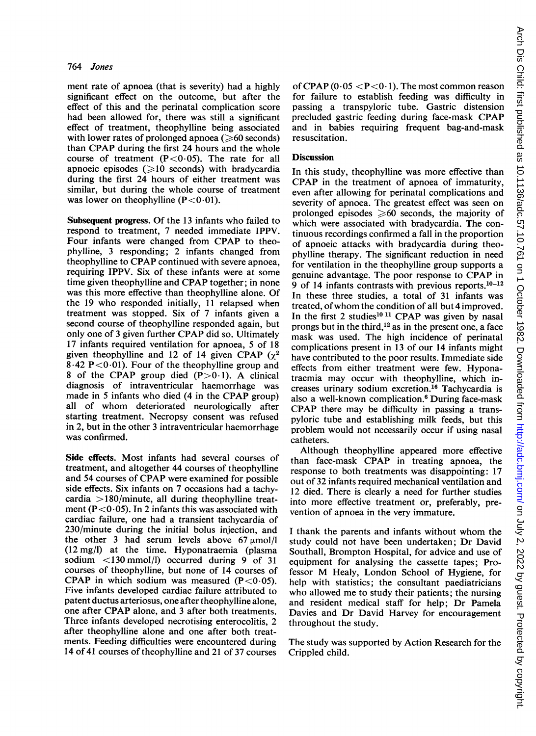#### 764 Jones

ment rate of apnoea (that is severity) had a highly significant effect on the outcome, but after the effect of this and the perinatal complication score had been allowed for, there was still a significant effect of treatment, theophylline being associated with lower rates of prolonged apnoea ( $\geq 60$  seconds) than CPAP during the first 24 hours and the whole course of treatment  $(P<0.05)$ . The rate for all apnoeic episodes  $\geq 10$  seconds) with bradycardia during the first 24 hours of either treatment was similar, but during the whole course of treatment was lower on the ophylline  $(P < 0.01)$ .

Subsequent progress. Of the 13 infants who failed to respond to treatment, 7 needed immediate IPPV. Four infants were changed from CPAP to theophylline, 3 responding; 2 infants changed from theophylline to CPAP continued with severe apnoea, requiring IPPV. Six of these infants were at some time given theophylline and CPAP together; in none was this more effective than theophylline alone. Of the 19 who responded initially, <sup>11</sup> relapsed when treatment was stopped. Six of 7 infants given a second course of theophylline responded again, but only one of <sup>3</sup> given further CPAP did so. Ultimately 17 infants required ventilation for apnoea, 5 of 18 given theophylline and 12 of 14 given CPAP  $(\chi^2)$ 8.42 P < 0.01). Four of the theophylline group and 8 of the CPAP group died  $(P>0.1)$ . A clinical diagnosis of intraventricular haemorrhage was made in <sup>5</sup> infants who died (4 in the CPAP group) all of whom deteriorated neurologically after starting treatment. Necropsy consent was refused in 2, but in the other 3 intraventricular haemorrhage was confirmed.

Side effects. Most infants had several courses of treatment, and altogether 44 courses of theophylline and 54 courses of CPAP were examined for possible side effects. Six infants on 7 occasions had a tachycardia  $>180/m$ inute, all during theophylline treatment ( $P < 0.05$ ). In 2 infants this was associated with cardiac failure, one had a transient tachycardia of 230/minute during the initial bolus injection, and the other 3 had serum levels above  $67 \mu \text{mol/l}$ (12 mg/I) at the time. Hyponatraemia (plasma sodium <130 mmol/l) occurred during 9 of 31 courses of theophylline, but none of 14 courses of CPAP in which sodium was measured  $(P<0.05)$ . Five infants developed cardiac failure attributed to patent ductus arteriosus, one after theophylline alone, one after CPAP alone, and <sup>3</sup> after both treatments. Three infants developed necrotising enterocolitis, 2 after theophylline alone and one after both treatments. Feeding difficulties were encountered during 14 of 41 courses of theophylline and 21 of 37 courses

of CPAP  $(0.05 < P < 0.1)$ . The most common reason for failure to establish feeding was difficulty in passing a transpyloric tube. Gastric distension precluded gastric feeding during face-mask CPAP and in babies requiring frequent bag-and-mask resuscitation.

#### **Discussion**

In this study, theophylline was more effective than CPAP in the treatment of apnoea of immaturity, even after allowing for perinatal complications and severity of apnoea. The greatest effect was seen on prolonged episodes  $\geq 60$  seconds, the majority of which were associated with bradycardia. The continuous recordings confirmed a fall in the proportion of apnoeic attacks with bradycardia during theophylline therapy. The significant reduction in need for ventilation in the theophylline group supports a genuine advantage. The poor response to CPAP in 9 of 14 infants contrasts with previous reports. $10-12$ In these three studies, a total of 31 infants was treated, ofwhom the condition of all but 4 improved. In the first 2 studies<sup>10 11</sup> CPAP was given by nasal prongs but in the third,  $12$  as in the present one, a face mask was used. The high incidence of perinatal complications present in 13 of our 14 infants might have contributed to the poor results. Immediate side effects from either treatment were few. Hyponatraemia may occur with theophylline, which increases urinary sodium excretion.'6 Tachycardia is also a well-known complication.6 During face-mask CPAP there may be difficulty in passing a transpyloric tube and establishing milk feeds, but this problem would not necessarily occur if using nasal catheters.

Although theophylline appeared more effective than face-mask CPAP in treating apnoea, the response to both treatments was disappointing: 17 out of 32 infants required mechanical ventilation and 12 died. There is clearly a need for further studies into more effective treatment or, preferably, prevention of apnoea in the very immature.

<sup>I</sup> thank the parents and infants without whom the study could not have been undertaken; Dr David Southall, Brompton Hospital, for advice and use of equipment for analysing the cassette tapes; Professor M Healy, London School of Hygiene, for help with statistics; the consultant paediatricians who allowed me to study their patients; the nursing and resident medical staff for help; Dr Pamela Davies and Dr David Harvey for encouragement throughout the study.

The study was supported by Action Research for the Crippled child.